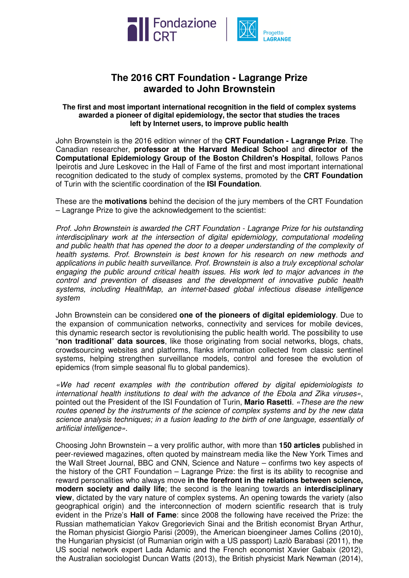



## **The 2016 CRT Foundation - Lagrange Prize awarded to John Brownstein**

## **The first and most important international recognition in the field of complex systems awarded a pioneer of digital epidemiology, the sector that studies the traces left by Internet users, to improve public health**

John Brownstein is the 2016 edition winner of the **CRT Foundation - Lagrange Prize**. The Canadian researcher, **professor at the Harvard Medical School** and **director of the Computational Epidemiology Group of the Boston Children's Hospital**, follows Panos Ipeirotis and Jure Leskovec in the Hall of Fame of the first and most important international recognition dedicated to the study of complex systems, promoted by the **CRT Foundation** of Turin with the scientific coordination of the **ISI Foundation**.

These are the **motivations** behind the decision of the jury members of the CRT Foundation – Lagrange Prize to give the acknowledgement to the scientist:

Prof. John Brownstein is awarded the CRT Foundation - Lagrange Prize for his outstanding interdisciplinary work at the intersection of digital epidemiology, computational modeling and public health that has opened the door to a deeper understanding of the complexity of health systems. Prof. Brownstein is best known for his research on new methods and applications in public health surveillance. Prof. Brownstein is also a truly exceptional scholar engaging the public around critical health issues. His work led to major advances in the control and prevention of diseases and the development of innovative public health systems, including HealthMap, an internet-based global infectious disease intelligence system

John Brownstein can be considered **one of the pioneers of digital epidemiology**. Due to the expansion of communication networks, connectivity and services for mobile devices, this dynamic research sector is revolutionising the public health world. The possibility to use "**non traditional**" **data sources**, like those originating from social networks, blogs, chats, crowdsourcing websites and platforms, flanks information collected from classic sentinel systems, helping strengthen surveillance models, control and foresee the evolution of epidemics (from simple seasonal flu to global pandemics).

«We had recent examples with the contribution offered by digital epidemiologists to international health institutions to deal with the advance of the Ebola and Zika viruses», pointed out the President of the ISI Foundation of Turin, **Mario Rasetti**. «These are the new routes opened by the instruments of the science of complex systems and by the new data science analysis techniques; in a fusion leading to the birth of one language, essentially of artificial intelligence».

Choosing John Brownstein – a very prolific author, with more than **150 articles** published in peer-reviewed magazines, often quoted by mainstream media like the New York Times and the Wall Street Journal, BBC and CNN, Science and Nature – confirms two key aspects of the history of the CRT Foundation – Lagrange Prize: the first is its ability to recognise and reward personalities who always move **in the forefront in the relations between science, modern society and daily life**; the second is the leaning towards an **interdisciplinary view**, dictated by the vary nature of complex systems. An opening towards the variety (also geographical origin) and the interconnection of modern scientific research that is truly evident in the Prize's **Hall of Fame**: since 2008 the following have received the Prize: the Russian mathematician Yakov Gregorievich Sinai and the British economist Bryan Arthur, the Roman physicist Giorgio Parisi (2009), the American bioengineer James Collins (2010), the Hungarian physicist (of Rumanian origin with a US passport) Lazlò Barabasi (2011), the US social network expert Lada Adamic and the French economist Xavier Gabaix (2012), the Australian sociologist Duncan Watts (2013), the British physicist Mark Newman (2014),